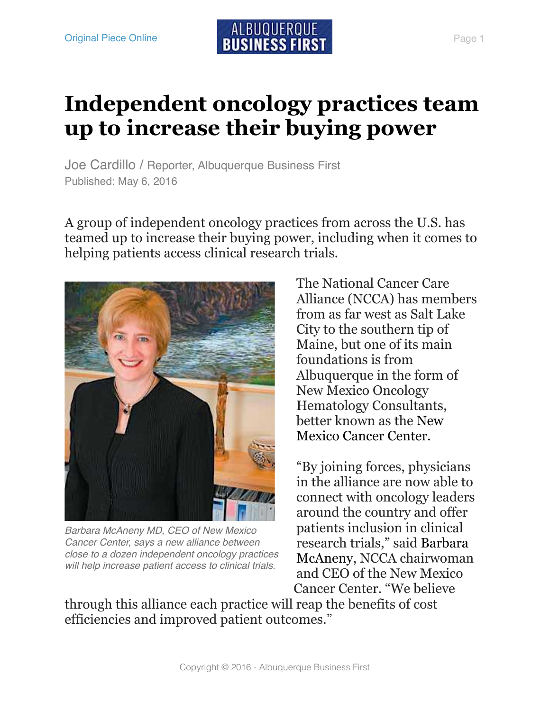## **Independent oncology practices team up to increase their buying power**

Joe Cardillo / Reporter, Albuquerque Business First Published: May 6, 2016

A group of independent oncology practices from across the U.S. has teamed up to increase their buying power, including when it comes to helping patients access clinical research trials.



*Barbara McAneny MD, CEO of New Mexico Cancer Center, says a new alliance between close to a dozen independent oncology practices will help increase patient access to clinical trials.*

The National Cancer Care Alliance (NCCA) has members from as far west as Salt Lake City to the southern tip of Maine, but one of its main foundations is from Albuquerque in the form of New Mexico Oncology Hematology Consultants, better known as the New Mexico Cancer Center.

"By joining forces, physicians in the alliance are now able to connect with oncology leaders around the country and offer patients inclusion in clinical [research trials," said Barbara](https://securepubads.g.doubleclick.net/pcs/view?xai=AKAOjssAov3Uoh8hoAn2YmsgybDRSmqNx6UQQ_IUn8Ps5e6vd1jV-yZPpWE3bH7IfU142SvD9LObqraRADZgZVu640A7uJCqMS7kNg5Ta-doLn6wNjhAkcMm0wNJ7LvZl2E5ymB9athUZDCDGwj3BYhdTmYB_mwFXE9tpZuRh_DUsFGVTTjz5G5deIdQ0ob77LZwmwfTiBkrAEZ8h1xx48SfUQzsNHmxCK94iPUDf2rn48Hs86LxiHOl4IJnNkMobDOcnxQ6HG8&sai=AMfl-YQb9UULsZaS32c5rN0VmUXQ3TevXn2I9EMLn14mxUxiaduVhCYm5ceGCsBOSSrLIocRJTFFYDtXcg&sig=Cg0ArKJSzA1SG6PgV7U6EAE&urlfix=1&adurl=https://tpc.googlesyndication.com/pagead/imgad?id=CICAgKDT76X9axABGAEyCNk3OcrSZUB0&t=10&cT=http%3A//bizjournals.com&l=http%3A//www.bizjournals.com/albuquerque/search/results%3Fq%3DBarbara%2520McAneny)  McAneny, NCCA chairwoman and CEO of the New Mexico Cancer Center. "We believe

through this alliance each practice will reap the benefits of cost efficiencies and improved patient outcomes."